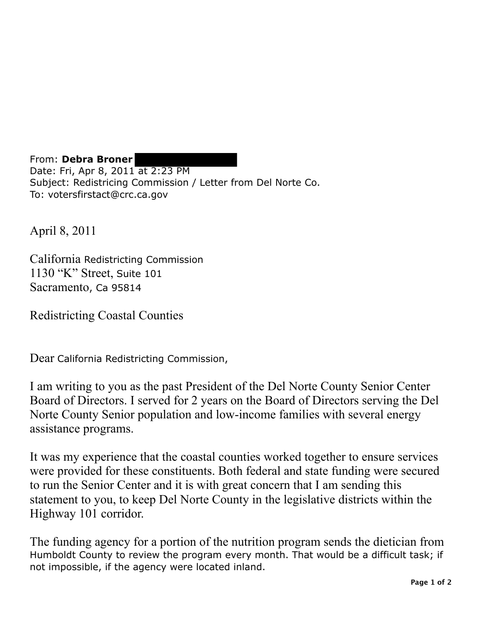From: **Debra Broner**  Date: Fri, Apr 8, 2011 at 2:23 PM Subject: Redistricing Commission / Letter from Del Norte Co. To: votersfirstact@crc.ca.gov

April 8, 2011

California Redistricting Commission 1130 "K" Street, Suite 101 Sacramento, Ca 95814

Redistricting Coastal Counties

Dear California Redistricting Commission,

I am writing to you as the past President of the Del Norte County Senior Center Board of Directors. I served for 2 years on the Board of Directors serving the Del Norte County Senior population and low-income families with several energy assistance programs.

It was my experience that the coastal counties worked together to ensure services were provided for these constituents. Both federal and state funding were secured to run the Senior Center and it is with great concern that I am sending this statement to you, to keep Del Norte County in the legislative districts within the Highway 101 corridor.

The funding agency for a portion of the nutrition program sends the dietician from Humboldt County to review the program every month. That would be a difficult task; if not impossible, if the agency were located inland.